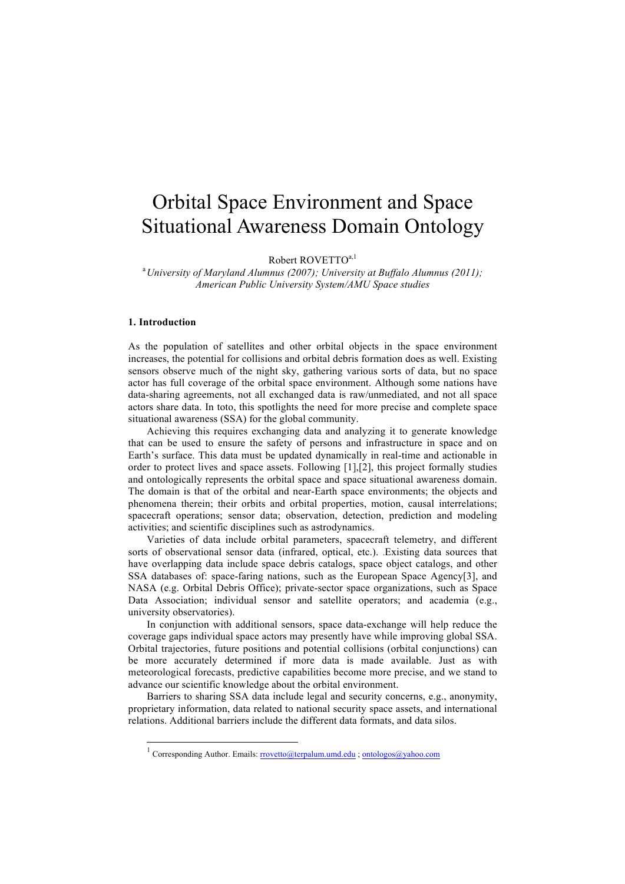## Orbital Space Environment and Space Situational Awareness Domain Ontology

Robert ROVETTO<sup>a,1</sup>

a *University of Maryland Alumnus (2007); University at Buffalo Alumnus (2011); American Public University System/AMU Space studies*

## **1. Introduction**

As the population of satellites and other orbital objects in the space environment increases, the potential for collisions and orbital debris formation does as well. Existing sensors observe much of the night sky, gathering various sorts of data, but no space actor has full coverage of the orbital space environment. Although some nations have data-sharing agreements, not all exchanged data is raw/unmediated, and not all space actors share data. In toto, this spotlights the need for more precise and complete space situational awareness (SSA) for the global community.

Achieving this requires exchanging data and analyzing it to generate knowledge that can be used to ensure the safety of persons and infrastructure in space and on Earth's surface. This data must be updated dynamically in real-time and actionable in order to protect lives and space assets. Following [1],[2], this project formally studies and ontologically represents the orbital space and space situational awareness domain. The domain is that of the orbital and near-Earth space environments; the objects and phenomena therein; their orbits and orbital properties, motion, causal interrelations; spacecraft operations; sensor data; observation, detection, prediction and modeling activities; and scientific disciplines such as astrodynamics.

Varieties of data include orbital parameters, spacecraft telemetry, and different sorts of observational sensor data (infrared, optical, etc.). .Existing data sources that have overlapping data include space debris catalogs, space object catalogs, and other SSA databases of: space-faring nations, such as the European Space Agency[3], and NASA (e.g. Orbital Debris Office); private-sector space organizations, such as Space Data Association; individual sensor and satellite operators; and academia (e.g., university observatories).

In conjunction with additional sensors, space data-exchange will help reduce the coverage gaps individual space actors may presently have while improving global SSA. Orbital trajectories, future positions and potential collisions (orbital conjunctions) can be more accurately determined if more data is made available. Just as with meteorological forecasts, predictive capabilities become more precise, and we stand to advance our scientific knowledge about the orbital environment.

Barriers to sharing SSA data include legal and security concerns, e.g., anonymity, proprietary information, data related to national security space assets, and international relations. Additional barriers include the different data formats, and data silos.

<sup>&</sup>lt;sup>1</sup> Corresponding Author. Emails: rrovetto@terpalum.umd.edu : ontologos@yahoo.com